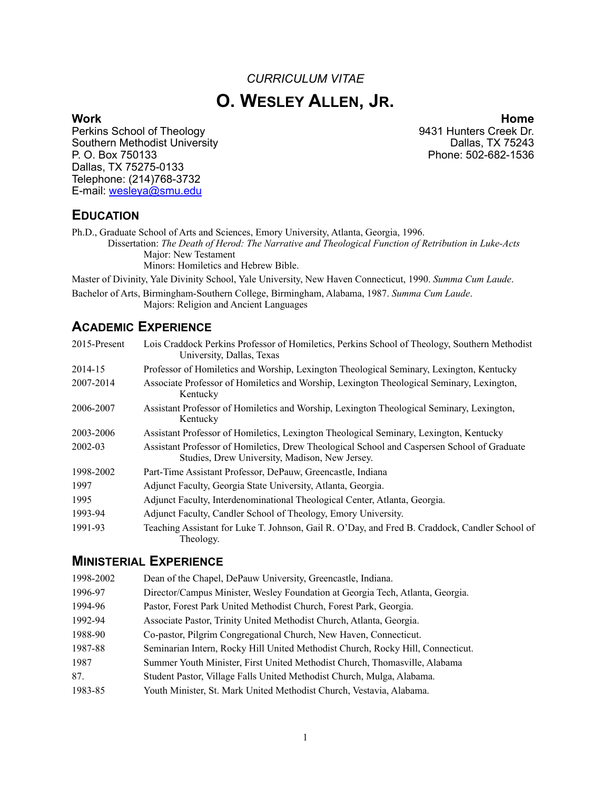# *CURRICULUM VITAE* **O. WESLEY ALLEN, JR.**

Perkins School of Theology 8431 Hunters Creek Dr.<br>
9431 Hunters Creek Dr. Couthern Methodist University 69431 Hunters Creek Dr. Southern Methodist University<br>P. O. Box 750133 Dallas, TX 75275-0133 Telephone: (214)768-3732 E-mail: [wesleya@smu.edu](mailto:wesleya@smu.edu)

**Work Home** Phone: 502-682-1536

#### **EDUCATION**

Ph.D., Graduate School of Arts and Sciences, Emory University, Atlanta, Georgia, 1996.

Dissertation: *The Death of Herod: The Narrative and Theological Function of Retribution in Luke-Acts* Major: New Testament

Minors: Homiletics and Hebrew Bible.

Master of Divinity, Yale Divinity School, Yale University, New Haven Connecticut, 1990. *Summa Cum Laude*.

Bachelor of Arts, Birmingham-Southern College, Birmingham, Alabama, 1987. *Summa Cum Laude*. Majors: Religion and Ancient Languages

## **ACADEMIC EXPERIENCE**

| 2015-Present | Lois Craddock Perkins Professor of Homiletics, Perkins School of Theology, Southern Methodist<br>University, Dallas, Texas                    |
|--------------|-----------------------------------------------------------------------------------------------------------------------------------------------|
| 2014-15      | Professor of Homiletics and Worship, Lexington Theological Seminary, Lexington, Kentucky                                                      |
| 2007-2014    | Associate Professor of Homiletics and Worship, Lexington Theological Seminary, Lexington,<br>Kentucky                                         |
| 2006-2007    | Assistant Professor of Homiletics and Worship, Lexington Theological Seminary, Lexington,<br>Kentucky                                         |
| 2003-2006    | Assistant Professor of Homiletics, Lexington Theological Seminary, Lexington, Kentucky                                                        |
| 2002-03      | Assistant Professor of Homiletics, Drew Theological School and Caspersen School of Graduate<br>Studies, Drew University, Madison, New Jersey. |
| 1998-2002    | Part-Time Assistant Professor, DePauw, Greencastle, Indiana                                                                                   |
| 1997         | Adjunct Faculty, Georgia State University, Atlanta, Georgia.                                                                                  |
| 1995         | Adjunct Faculty, Interdenominational Theological Center, Atlanta, Georgia.                                                                    |
| 1993-94      | Adjunct Faculty, Candler School of Theology, Emory University.                                                                                |
| 1991-93      | Teaching Assistant for Luke T. Johnson, Gail R. O'Day, and Fred B. Craddock, Candler School of<br>Theology.                                   |

#### **MINISTERIAL EXPERIENCE**

| 1998-2002 | Dean of the Chapel, DePauw University, Greencastle, Indiana.                    |
|-----------|---------------------------------------------------------------------------------|
| 1996-97   | Director/Campus Minister, Wesley Foundation at Georgia Tech, Atlanta, Georgia.  |
| 1994-96   | Pastor, Forest Park United Methodist Church, Forest Park, Georgia.              |
| 1992-94   | Associate Pastor, Trinity United Methodist Church, Atlanta, Georgia.            |
| 1988-90   | Co-pastor, Pilgrim Congregational Church, New Haven, Connecticut.               |
| 1987-88   | Seminarian Intern, Rocky Hill United Methodist Church, Rocky Hill, Connecticut. |
| 1987      | Summer Youth Minister, First United Methodist Church, Thomasville, Alabama      |
| 87.       | Student Pastor, Village Falls United Methodist Church, Mulga, Alabama.          |
| 1983-85   | Youth Minister, St. Mark United Methodist Church, Vestavia, Alabama.            |
|           |                                                                                 |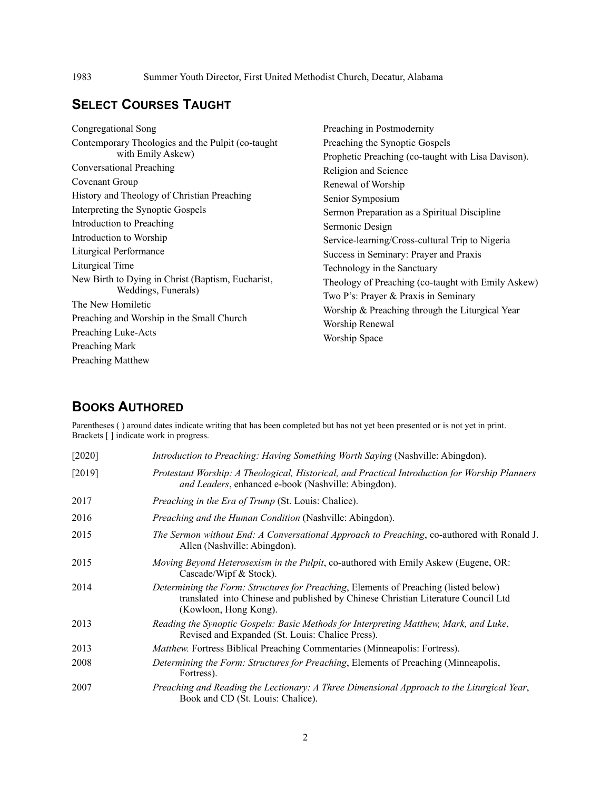## **SELECT COURSES TAUGHT**

| Congregational Song                                                                                                                                                                                             | Preaching in Postmodernity                                                                                                                                                                  |
|-----------------------------------------------------------------------------------------------------------------------------------------------------------------------------------------------------------------|---------------------------------------------------------------------------------------------------------------------------------------------------------------------------------------------|
| Contemporary Theologies and the Pulpit (co-taught)<br>with Emily Askew)<br>Conversational Preaching<br>Covenant Group<br>History and Theology of Christian Preaching                                            | Preaching the Synoptic Gospels<br>Prophetic Preaching (co-taught with Lisa Davison).<br>Religion and Science<br>Renewal of Worship<br>Senior Symposium                                      |
| Interpreting the Synoptic Gospels<br>Introduction to Preaching<br>Introduction to Worship<br>Liturgical Performance<br>Liturgical Time                                                                          | Sermon Preparation as a Spiritual Discipline<br>Sermonic Design<br>Service-learning/Cross-cultural Trip to Nigeria<br>Success in Seminary: Prayer and Praxis<br>Technology in the Sanctuary |
| New Birth to Dying in Christ (Baptism, Eucharist,<br>Weddings, Funerals)<br>The New Homiletic<br>Preaching and Worship in the Small Church<br>Preaching Luke-Acts<br>Preaching Mark<br><b>Preaching Matthew</b> | Theology of Preaching (co-taught with Emily Askew)<br>Two P's: Prayer & Praxis in Seminary<br>Worship & Preaching through the Liturgical Year<br>Worship Renewal<br>Worship Space           |
|                                                                                                                                                                                                                 |                                                                                                                                                                                             |

## **BOOKS AUTHORED**

Parentheses ( ) around dates indicate writing that has been completed but has not yet been presented or is not yet in print. Brackets [ ] indicate work in progress.

| $[2020]$ | Introduction to Preaching: Having Something Worth Saying (Nashville: Abingdon).                                                                                                                           |
|----------|-----------------------------------------------------------------------------------------------------------------------------------------------------------------------------------------------------------|
| [2019]   | Protestant Worship: A Theological, Historical, and Practical Introduction for Worship Planners<br>and Leaders, enhanced e-book (Nashville: Abingdon).                                                     |
| 2017     | <i>Preaching in the Era of Trump</i> (St. Louis: Chalice).                                                                                                                                                |
| 2016     | Preaching and the Human Condition (Nashville: Abingdon).                                                                                                                                                  |
| 2015     | The Sermon without End: A Conversational Approach to Preaching, co-authored with Ronald J.<br>Allen (Nashville: Abingdon).                                                                                |
| 2015     | Moving Beyond Heterosexism in the Pulpit, co-authored with Emily Askew (Eugene, OR:<br>Cascade/Wipf & Stock).                                                                                             |
| 2014     | <i>Determining the Form: Structures for Preaching, Elements of Preaching (listed below)</i><br>translated into Chinese and published by Chinese Christian Literature Council Ltd<br>(Kowloon, Hong Kong). |
| 2013     | Reading the Synoptic Gospels: Basic Methods for Interpreting Matthew, Mark, and Luke,<br>Revised and Expanded (St. Louis: Chalice Press).                                                                 |
| 2013     | <i>Matthew.</i> Fortress Biblical Preaching Commentaries (Minneapolis: Fortress).                                                                                                                         |
| 2008     | Determining the Form: Structures for Preaching, Elements of Preaching (Minneapolis,<br>Fortress).                                                                                                         |
| 2007     | Preaching and Reading the Lectionary: A Three Dimensional Approach to the Liturgical Year,<br>Book and CD (St. Louis: Chalice).                                                                           |

2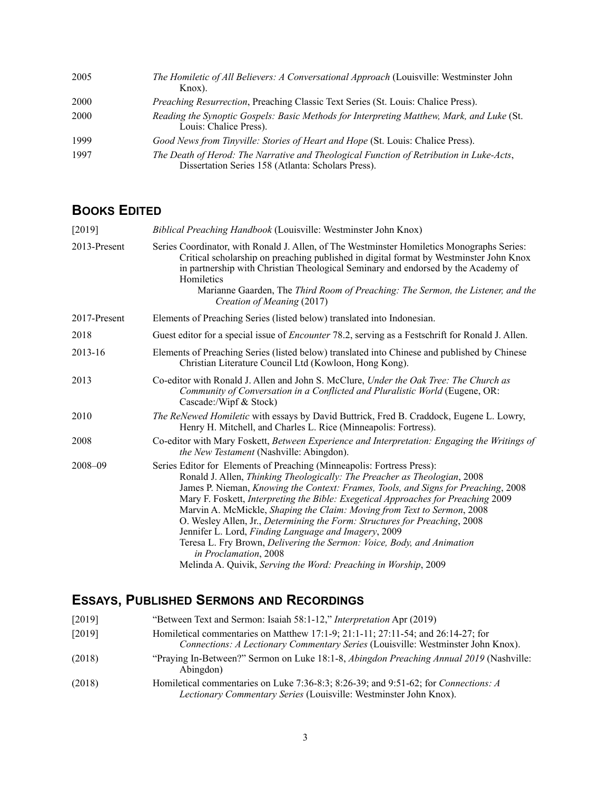| 2005 | The Homiletic of All Believers: A Conversational Approach (Louisville: Westminster John<br>Knox).                                             |
|------|-----------------------------------------------------------------------------------------------------------------------------------------------|
| 2000 | Preaching Resurrection, Preaching Classic Text Series (St. Louis: Chalice Press).                                                             |
| 2000 | Reading the Synoptic Gospels: Basic Methods for Interpreting Matthew, Mark, and Luke (St.<br>Louis: Chalice Press).                           |
| 1999 | Good News from Tinyville: Stories of Heart and Hope (St. Louis: Chalice Press).                                                               |
| 1997 | The Death of Herod: The Narrative and Theological Function of Retribution in Luke-Acts,<br>Dissertation Series 158 (Atlanta: Scholars Press). |

## **BOOKS EDITED**

| Biblical Preaching Handbook (Louisville: Westminster John Knox)                                                                                                                                                                                                                                                                                                                                                                                                                                                                                                                                                                                                                                                       |
|-----------------------------------------------------------------------------------------------------------------------------------------------------------------------------------------------------------------------------------------------------------------------------------------------------------------------------------------------------------------------------------------------------------------------------------------------------------------------------------------------------------------------------------------------------------------------------------------------------------------------------------------------------------------------------------------------------------------------|
| Series Coordinator, with Ronald J. Allen, of The Westminster Homiletics Monographs Series:<br>Critical scholarship on preaching published in digital format by Westminster John Knox<br>in partnership with Christian Theological Seminary and endorsed by the Academy of<br>Homiletics                                                                                                                                                                                                                                                                                                                                                                                                                               |
| Marianne Gaarden, The Third Room of Preaching: The Sermon, the Listener, and the<br>Creation of Meaning (2017)                                                                                                                                                                                                                                                                                                                                                                                                                                                                                                                                                                                                        |
| Elements of Preaching Series (listed below) translated into Indonesian.                                                                                                                                                                                                                                                                                                                                                                                                                                                                                                                                                                                                                                               |
| Guest editor for a special issue of <i>Encounter</i> 78.2, serving as a Festschrift for Ronald J. Allen.                                                                                                                                                                                                                                                                                                                                                                                                                                                                                                                                                                                                              |
| Elements of Preaching Series (listed below) translated into Chinese and published by Chinese<br>Christian Literature Council Ltd (Kowloon, Hong Kong).                                                                                                                                                                                                                                                                                                                                                                                                                                                                                                                                                                |
| Co-editor with Ronald J. Allen and John S. McClure, Under the Oak Tree: The Church as<br>Community of Conversation in a Conflicted and Pluralistic World (Eugene, OR:<br>Cascade:/Wipf & Stock)                                                                                                                                                                                                                                                                                                                                                                                                                                                                                                                       |
| The ReNewed Homiletic with essays by David Buttrick, Fred B. Craddock, Eugene L. Lowry,<br>Henry H. Mitchell, and Charles L. Rice (Minneapolis: Fortress).                                                                                                                                                                                                                                                                                                                                                                                                                                                                                                                                                            |
| Co-editor with Mary Foskett, Between Experience and Interpretation: Engaging the Writings of<br>the New Testament (Nashville: Abingdon).                                                                                                                                                                                                                                                                                                                                                                                                                                                                                                                                                                              |
| Series Editor for Elements of Preaching (Minneapolis: Fortress Press):<br>Ronald J. Allen, Thinking Theologically: The Preacher as Theologian, 2008<br>James P. Nieman, Knowing the Context: Frames, Tools, and Signs for Preaching, 2008<br>Mary F. Foskett, Interpreting the Bible: Exegetical Approaches for Preaching 2009<br>Marvin A. McMickle, Shaping the Claim: Moving from Text to Sermon, 2008<br>O. Wesley Allen, Jr., Determining the Form: Structures for Preaching, 2008<br>Jennifer L. Lord, Finding Language and Imagery, 2009<br>Teresa L. Fry Brown, Delivering the Sermon: Voice, Body, and Animation<br>in Proclamation, 2008<br>Melinda A. Quivik, Serving the Word: Preaching in Worship, 2009 |
|                                                                                                                                                                                                                                                                                                                                                                                                                                                                                                                                                                                                                                                                                                                       |

# **ESSAYS, PUBLISHED SERMONS AND RECORDINGS**

| [2019]<br>Homiletical commentaries on Matthew 17:1-9; 21:1-11; 27:11-54; and 26:14-27; for<br>Connections: A Lectionary Commentary Series (Louisville: Westminster John Knox). |  |
|--------------------------------------------------------------------------------------------------------------------------------------------------------------------------------|--|
| "Praying In-Between?" Sermon on Luke 18:1-8, Abingdon Preaching Annual 2019 (Nashville:<br>(2018)<br>Abingdon)                                                                 |  |
| Homiletical commentaries on Luke 7:36-8:3; 8:26-39; and 9:51-62; for Connections: A<br>(2018)<br>Lectionary Commentary Series (Louisville: Westminster John Knox).             |  |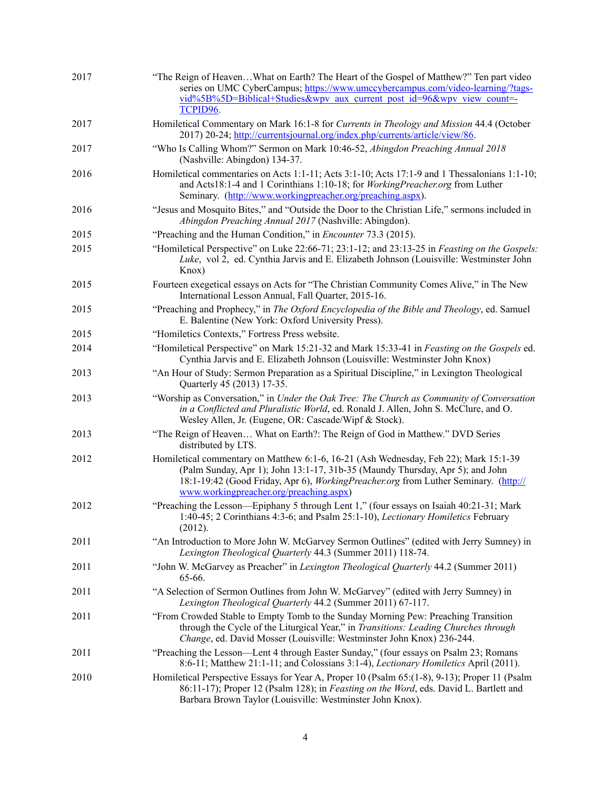| 2017 | "The Reign of HeavenWhat on Earth? The Heart of the Gospel of Matthew?" Ten part video<br>series on UMC CyberCampus; https://www.umccybercampus.com/video-learning/?tags-<br>vid%5B%5D=Biblical+Studies&wpv aux current post id=96&wpv view count=<br>TCPID96.      |
|------|---------------------------------------------------------------------------------------------------------------------------------------------------------------------------------------------------------------------------------------------------------------------|
| 2017 | Homiletical Commentary on Mark 16:1-8 for Currents in Theology and Mission 44.4 (October<br>2017) 20-24; http://currentsjournal.org/index.php/currents/article/view/86.                                                                                             |
| 2017 | "Who Is Calling Whom?" Sermon on Mark 10:46-52, Abingdon Preaching Annual 2018<br>(Nashville: Abingdon) 134-37.                                                                                                                                                     |
| 2016 | Homiletical commentaries on Acts 1:1-11; Acts 3:1-10; Acts 17:1-9 and 1 Thessalonians 1:1-10;<br>and Acts18:1-4 and 1 Corinthians 1:10-18; for WorkingPreacher.org from Luther<br>Seminary. (http://www.workingpreacher.org/preaching.aspx).                        |
| 2016 | "Jesus and Mosquito Bites," and "Outside the Door to the Christian Life," sermons included in<br>Abingdon Preaching Annual 2017 (Nashville: Abingdon).                                                                                                              |
| 2015 | "Preaching and the Human Condition," in <i>Encounter</i> 73.3 (2015).                                                                                                                                                                                               |
| 2015 | "Homiletical Perspective" on Luke 22:66-71; 23:1-12; and 23:13-25 in Feasting on the Gospels:<br>Luke, vol 2, ed. Cynthia Jarvis and E. Elizabeth Johnson (Louisville: Westminster John<br>Knox)                                                                    |
| 2015 | Fourteen exegetical essays on Acts for "The Christian Community Comes Alive," in The New<br>International Lesson Annual, Fall Quarter, 2015-16.                                                                                                                     |
| 2015 | "Preaching and Prophecy," in The Oxford Encyclopedia of the Bible and Theology, ed. Samuel<br>E. Balentine (New York: Oxford University Press).                                                                                                                     |
| 2015 | "Homiletics Contexts," Fortress Press website.                                                                                                                                                                                                                      |
| 2014 | "Homiletical Perspective" on Mark 15:21-32 and Mark 15:33-41 in Feasting on the Gospels ed.<br>Cynthia Jarvis and E. Elizabeth Johnson (Louisville: Westminster John Knox)                                                                                          |
| 2013 | "An Hour of Study: Sermon Preparation as a Spiritual Discipline," in Lexington Theological<br>Quarterly 45 (2013) 17-35.                                                                                                                                            |
| 2013 | "Worship as Conversation," in Under the Oak Tree: The Church as Community of Conversation<br>in a Conflicted and Pluralistic World, ed. Ronald J. Allen, John S. McClure, and O.<br>Wesley Allen, Jr. (Eugene, OR: Cascade/Wipf & Stock).                           |
| 2013 | "The Reign of Heaven What on Earth?: The Reign of God in Matthew." DVD Series<br>distributed by LTS.                                                                                                                                                                |
| 2012 | Homiletical commentary on Matthew 6:1-6, 16-21 (Ash Wednesday, Feb 22); Mark 15:1-39<br>(Palm Sunday, Apr 1); John 13:1-17, 31b-35 (Maundy Thursday, Apr 5); and John<br>18:1-19:42 (Good Friday, Apr 6), <i>WorkingPreacher.org</i> from Luther Seminary. (http:// |
|      | www.workingpreacher.org/preaching.aspx)                                                                                                                                                                                                                             |
| 2012 | "Preaching the Lesson—Epiphany 5 through Lent 1," (four essays on Isaiah 40:21-31; Mark<br>1:40-45; 2 Corinthians 4:3-6; and Psalm 25:1-10), Lectionary Homiletics February<br>(2012).                                                                              |
| 2011 | "An Introduction to More John W. McGarvey Sermon Outlines" (edited with Jerry Sumney) in<br>Lexington Theological Quarterly 44.3 (Summer 2011) 118-74.                                                                                                              |
| 2011 | "John W. McGarvey as Preacher" in Lexington Theological Quarterly 44.2 (Summer 2011)<br>65-66.                                                                                                                                                                      |
| 2011 | "A Selection of Sermon Outlines from John W. McGarvey" (edited with Jerry Sumney) in<br>Lexington Theological Quarterly 44.2 (Summer 2011) 67-117.                                                                                                                  |
| 2011 | "From Crowded Stable to Empty Tomb to the Sunday Morning Pew: Preaching Transition<br>through the Cycle of the Liturgical Year," in Transitions: Leading Churches through<br>Change, ed. David Mosser (Louisville: Westminster John Knox) 236-244.                  |
| 2011 | "Preaching the Lesson—Lent 4 through Easter Sunday," (four essays on Psalm 23; Romans<br>8:6-11; Matthew 21:1-11; and Colossians 3:1-4), <i>Lectionary Homiletics</i> April (2011).                                                                                 |
| 2010 | Homiletical Perspective Essays for Year A, Proper 10 (Psalm 65:(1-8), 9-13); Proper 11 (Psalm<br>86:11-17); Proper 12 (Psalm 128); in Feasting on the Word, eds. David L. Bartlett and<br>Barbara Brown Taylor (Louisville: Westminster John Knox).                 |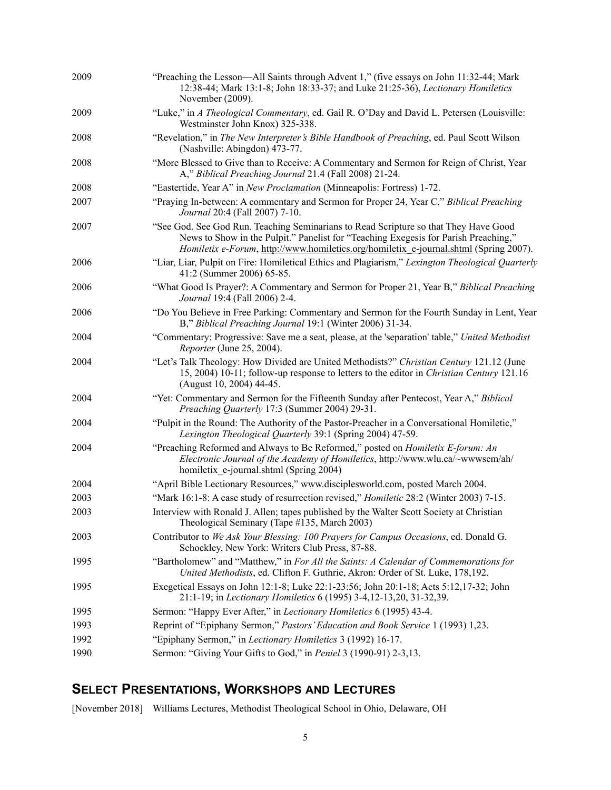| 2009 | "Preaching the Lesson—All Saints through Advent 1," (five essays on John 11:32-44; Mark<br>12:38-44; Mark 13:1-8; John 18:33-37; and Luke 21:25-36), Lectionary Homiletics<br>November (2009).                                                                              |
|------|-----------------------------------------------------------------------------------------------------------------------------------------------------------------------------------------------------------------------------------------------------------------------------|
| 2009 | "Luke," in A Theological Commentary, ed. Gail R. O'Day and David L. Petersen (Louisville:<br>Westminster John Knox) 325-338.                                                                                                                                                |
| 2008 | "Revelation," in The New Interpreter's Bible Handbook of Preaching, ed. Paul Scott Wilson<br>(Nashville: Abingdon) 473-77.                                                                                                                                                  |
| 2008 | "More Blessed to Give than to Receive: A Commentary and Sermon for Reign of Christ, Year<br>A," Biblical Preaching Journal 21.4 (Fall 2008) 21-24.                                                                                                                          |
| 2008 | "Eastertide, Year A" in New Proclamation (Minneapolis: Fortress) 1-72.                                                                                                                                                                                                      |
| 2007 | "Praying In-between: A commentary and Sermon for Proper 24, Year C," Biblical Preaching<br>Journal 20:4 (Fall 2007) 7-10.                                                                                                                                                   |
| 2007 | "See God. See God Run. Teaching Seminarians to Read Scripture so that They Have Good<br>News to Show in the Pulpit." Panelist for "Teaching Exegesis for Parish Preaching,"<br><i>Homiletix e-Forum, http://www.homiletics.org/homiletix e-journal.shtml (Spring 2007).</i> |
| 2006 | "Liar, Liar, Pulpit on Fire: Homiletical Ethics and Plagiarism," Lexington Theological Quarterly<br>41:2 (Summer 2006) 65-85.                                                                                                                                               |
| 2006 | "What Good Is Prayer?: A Commentary and Sermon for Proper 21, Year B," Biblical Preaching<br>Journal 19:4 (Fall 2006) 2-4.                                                                                                                                                  |
| 2006 | "Do You Believe in Free Parking: Commentary and Sermon for the Fourth Sunday in Lent, Year<br>B," Biblical Preaching Journal 19:1 (Winter 2006) 31-34.                                                                                                                      |
| 2004 | "Commentary: Progressive: Save me a seat, please, at the 'separation' table," United Methodist<br>Reporter (June 25, 2004).                                                                                                                                                 |
| 2004 | "Let's Talk Theology: How Divided are United Methodists?" Christian Century 121.12 (June<br>15, 2004) 10-11; follow-up response to letters to the editor in Christian Century 121.16<br>(August 10, 2004) 44-45.                                                            |
| 2004 | "Yet: Commentary and Sermon for the Fifteenth Sunday after Pentecost, Year A," Biblical<br>Preaching Quarterly 17:3 (Summer 2004) 29-31.                                                                                                                                    |
| 2004 | "Pulpit in the Round: The Authority of the Pastor-Preacher in a Conversational Homiletic,"<br>Lexington Theological Quarterly 39:1 (Spring 2004) 47-59.                                                                                                                     |
| 2004 | "Preaching Reformed and Always to Be Reformed," posted on <i>Homiletix E-forum: An</i><br>Electronic Journal of the Academy of Homiletics, http://www.wlu.ca/~wwwsem/ah/<br>homiletix e-journal.shtml (Spring 2004)                                                         |
| 2004 | "April Bible Lectionary Resources," www.disciplesworld.com, posted March 2004.                                                                                                                                                                                              |
| 2003 | "Mark 16:1-8: A case study of resurrection revised," <i>Homiletic</i> 28:2 (Winter 2003) 7-15.                                                                                                                                                                              |
| 2003 | Interview with Ronald J. Allen; tapes published by the Walter Scott Society at Christian<br>Theological Seminary (Tape #135, March 2003)                                                                                                                                    |
| 2003 | Contributor to We Ask Your Blessing: 100 Prayers for Campus Occasions, ed. Donald G.<br>Schockley, New York: Writers Club Press, 87-88.                                                                                                                                     |
| 1995 | "Bartholomew" and "Matthew," in For All the Saints: A Calendar of Commemorations for<br>United Methodists, ed. Clifton F. Guthrie, Akron: Order of St. Luke, 178,192.                                                                                                       |
| 1995 | Exegetical Essays on John 12:1-8; Luke 22:1-23:56; John 20:1-18; Acts 5:12,17-32; John<br>21:1-19; in Lectionary Homiletics 6 (1995) 3-4,12-13,20, 31-32,39.                                                                                                                |
| 1995 | Sermon: "Happy Ever After," in Lectionary Homiletics 6 (1995) 43-4.                                                                                                                                                                                                         |
| 1993 | Reprint of "Epiphany Sermon," Pastors' Education and Book Service 1 (1993) 1,23.                                                                                                                                                                                            |
| 1992 | "Epiphany Sermon," in Lectionary Homiletics 3 (1992) 16-17.                                                                                                                                                                                                                 |
| 1990 | Sermon: "Giving Your Gifts to God," in Peniel 3 (1990-91) 2-3,13.                                                                                                                                                                                                           |

# **SELECT PRESENTATIONS, WORKSHOPS AND LECTURES**

[November 2018] Williams Lectures, Methodist Theological School in Ohio, Delaware, OH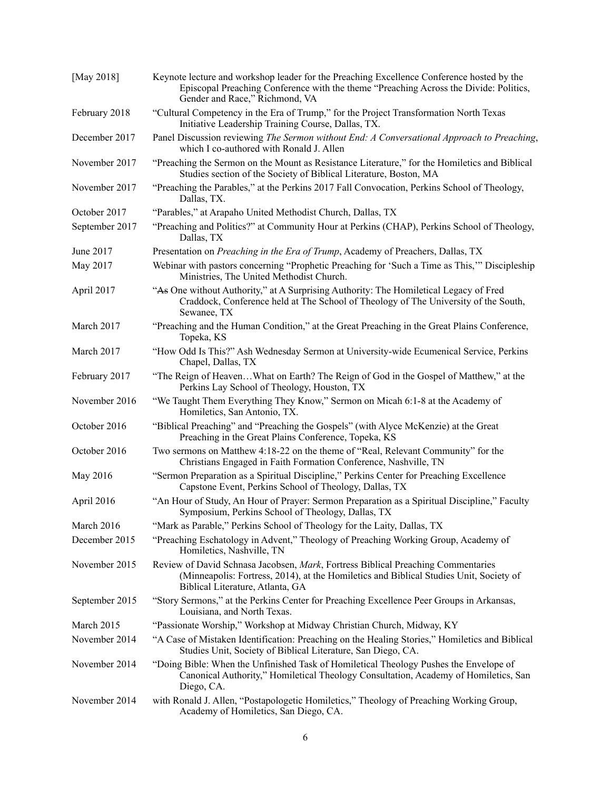| [May 2018]     | Keynote lecture and workshop leader for the Preaching Excellence Conference hosted by the<br>Episcopal Preaching Conference with the theme "Preaching Across the Divide: Politics,<br>Gender and Race," Richmond, VA   |
|----------------|------------------------------------------------------------------------------------------------------------------------------------------------------------------------------------------------------------------------|
| February 2018  | "Cultural Competency in the Era of Trump," for the Project Transformation North Texas<br>Initiative Leadership Training Course, Dallas, TX.                                                                            |
| December 2017  | Panel Discussion reviewing The Sermon without End: A Conversational Approach to Preaching,<br>which I co-authored with Ronald J. Allen                                                                                 |
| November 2017  | "Preaching the Sermon on the Mount as Resistance Literature," for the Homiletics and Biblical<br>Studies section of the Society of Biblical Literature, Boston, MA                                                     |
| November 2017  | "Preaching the Parables," at the Perkins 2017 Fall Convocation, Perkins School of Theology,<br>Dallas, TX.                                                                                                             |
| October 2017   | "Parables," at Arapaho United Methodist Church, Dallas, TX                                                                                                                                                             |
| September 2017 | "Preaching and Politics?" at Community Hour at Perkins (CHAP), Perkins School of Theology,<br>Dallas, TX                                                                                                               |
| June 2017      | Presentation on Preaching in the Era of Trump, Academy of Preachers, Dallas, TX                                                                                                                                        |
| May 2017       | Webinar with pastors concerning "Prophetic Preaching for 'Such a Time as This," Discipleship<br>Ministries, The United Methodist Church.                                                                               |
| April 2017     | "As One without Authority," at A Surprising Authority: The Homiletical Legacy of Fred<br>Craddock, Conference held at The School of Theology of The University of the South,<br>Sewanee, TX                            |
| March 2017     | "Preaching and the Human Condition," at the Great Preaching in the Great Plains Conference,<br>Topeka, KS                                                                                                              |
| March 2017     | "How Odd Is This?" Ash Wednesday Sermon at University-wide Ecumenical Service, Perkins<br>Chapel, Dallas, TX                                                                                                           |
| February 2017  | "The Reign of HeavenWhat on Earth? The Reign of God in the Gospel of Matthew," at the<br>Perkins Lay School of Theology, Houston, TX                                                                                   |
| November 2016  | "We Taught Them Everything They Know," Sermon on Micah 6:1-8 at the Academy of<br>Homiletics, San Antonio, TX.                                                                                                         |
| October 2016   | "Biblical Preaching" and "Preaching the Gospels" (with Alyce McKenzie) at the Great<br>Preaching in the Great Plains Conference, Topeka, KS                                                                            |
| October 2016   | Two sermons on Matthew 4:18-22 on the theme of "Real, Relevant Community" for the<br>Christians Engaged in Faith Formation Conference, Nashville, TN                                                                   |
| May 2016       | "Sermon Preparation as a Spiritual Discipline," Perkins Center for Preaching Excellence<br>Capstone Event, Perkins School of Theology, Dallas, TX                                                                      |
| April 2016     | "An Hour of Study, An Hour of Prayer: Sermon Preparation as a Spiritual Discipline," Faculty<br>Symposium, Perkins School of Theology, Dallas, TX                                                                      |
| March 2016     | "Mark as Parable," Perkins School of Theology for the Laity, Dallas, TX                                                                                                                                                |
| December 2015  | "Preaching Eschatology in Advent," Theology of Preaching Working Group, Academy of<br>Homiletics, Nashville, TN                                                                                                        |
| November 2015  | Review of David Schnasa Jacobsen, <i>Mark</i> , Fortress Biblical Preaching Commentaries<br>(Minneapolis: Fortress, 2014), at the Homiletics and Biblical Studies Unit, Society of<br>Biblical Literature, Atlanta, GA |
| September 2015 | "Story Sermons," at the Perkins Center for Preaching Excellence Peer Groups in Arkansas,<br>Louisiana, and North Texas.                                                                                                |
| March 2015     | "Passionate Worship," Workshop at Midway Christian Church, Midway, KY                                                                                                                                                  |
| November 2014  | "A Case of Mistaken Identification: Preaching on the Healing Stories," Homiletics and Biblical<br>Studies Unit, Society of Biblical Literature, San Diego, CA.                                                         |
| November 2014  | "Doing Bible: When the Unfinished Task of Homiletical Theology Pushes the Envelope of<br>Canonical Authority," Homiletical Theology Consultation, Academy of Homiletics, San<br>Diego, CA.                             |
| November 2014  | with Ronald J. Allen, "Postapologetic Homiletics," Theology of Preaching Working Group,<br>Academy of Homiletics, San Diego, CA.                                                                                       |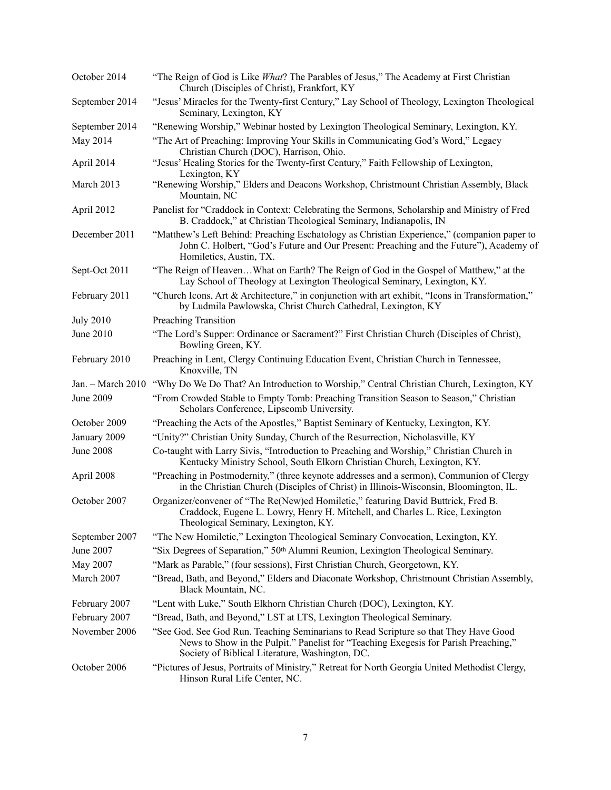| October 2014      | "The Reign of God is Like <i>What</i> ? The Parables of Jesus," The Academy at First Christian<br>Church (Disciples of Christ), Frankfort, KY                                                                                  |
|-------------------|--------------------------------------------------------------------------------------------------------------------------------------------------------------------------------------------------------------------------------|
| September 2014    | "Jesus' Miracles for the Twenty-first Century," Lay School of Theology, Lexington Theological<br>Seminary, Lexington, KY                                                                                                       |
| September 2014    | "Renewing Worship," Webinar hosted by Lexington Theological Seminary, Lexington, KY.                                                                                                                                           |
| May 2014          | "The Art of Preaching: Improving Your Skills in Communicating God's Word," Legacy<br>Christian Church (DOC), Harrison, Ohio.                                                                                                   |
| April 2014        | "Jesus' Healing Stories for the Twenty-first Century," Faith Fellowship of Lexington,<br>Lexington, KY                                                                                                                         |
| March 2013        | "Renewing Worship," Elders and Deacons Workshop, Christmount Christian Assembly, Black<br>Mountain, NC                                                                                                                         |
| April 2012        | Panelist for "Craddock in Context: Celebrating the Sermons, Scholarship and Ministry of Fred<br>B. Craddock," at Christian Theological Seminary, Indianapolis, IN                                                              |
| December 2011     | "Matthew's Left Behind: Preaching Eschatology as Christian Experience," (companion paper to<br>John C. Holbert, "God's Future and Our Present: Preaching and the Future"), Academy of<br>Homiletics, Austin, TX.               |
| Sept-Oct 2011     | "The Reign of HeavenWhat on Earth? The Reign of God in the Gospel of Matthew," at the<br>Lay School of Theology at Lexington Theological Seminary, Lexington, KY.                                                              |
| February 2011     | "Church Icons, Art & Architecture," in conjunction with art exhibit, "Icons in Transformation,"<br>by Ludmila Pawlowska, Christ Church Cathedral, Lexington, KY                                                                |
| <b>July 2010</b>  | <b>Preaching Transition</b>                                                                                                                                                                                                    |
| June 2010         | "The Lord's Supper: Ordinance or Sacrament?" First Christian Church (Disciples of Christ),<br>Bowling Green, KY.                                                                                                               |
| February 2010     | Preaching in Lent, Clergy Continuing Education Event, Christian Church in Tennessee,<br>Knoxville, TN                                                                                                                          |
| Jan. - March 2010 | "Why Do We Do That? An Introduction to Worship," Central Christian Church, Lexington, KY                                                                                                                                       |
| <b>June 2009</b>  | "From Crowded Stable to Empty Tomb: Preaching Transition Season to Season," Christian<br>Scholars Conference, Lipscomb University.                                                                                             |
| October 2009      | "Preaching the Acts of the Apostles," Baptist Seminary of Kentucky, Lexington, KY.                                                                                                                                             |
| January 2009      | "Unity?" Christian Unity Sunday, Church of the Resurrection, Nicholasville, KY                                                                                                                                                 |
| <b>June 2008</b>  | Co-taught with Larry Sivis, "Introduction to Preaching and Worship," Christian Church in<br>Kentucky Ministry School, South Elkorn Christian Church, Lexington, KY.                                                            |
| April 2008        | "Preaching in Postmodernity," (three keynote addresses and a sermon), Communion of Clergy<br>in the Christian Church (Disciples of Christ) in Illinois-Wisconsin, Bloomington, IL.                                             |
| October 2007      | Organizer/convener of "The Re(New)ed Homiletic," featuring David Buttrick, Fred B.<br>Craddock, Eugene L. Lowry, Henry H. Mitchell, and Charles L. Rice, Lexington<br>Theological Seminary, Lexington, KY.                     |
| September 2007    | "The New Homiletic," Lexington Theological Seminary Convocation, Lexington, KY.                                                                                                                                                |
| June 2007         | "Six Degrees of Separation," 50th Alumni Reunion, Lexington Theological Seminary.                                                                                                                                              |
| May 2007          | "Mark as Parable," (four sessions), First Christian Church, Georgetown, KY.                                                                                                                                                    |
| March 2007        | "Bread, Bath, and Beyond," Elders and Diaconate Workshop, Christmount Christian Assembly,<br>Black Mountain, NC.                                                                                                               |
| February 2007     | "Lent with Luke," South Elkhorn Christian Church (DOC), Lexington, KY.                                                                                                                                                         |
| February 2007     | "Bread, Bath, and Beyond," LST at LTS, Lexington Theological Seminary.                                                                                                                                                         |
| November 2006     | "See God. See God Run. Teaching Seminarians to Read Scripture so that They Have Good<br>News to Show in the Pulpit." Panelist for "Teaching Exegesis for Parish Preaching,"<br>Society of Biblical Literature, Washington, DC. |
| October 2006      | "Pictures of Jesus, Portraits of Ministry," Retreat for North Georgia United Methodist Clergy,<br>Hinson Rural Life Center, NC.                                                                                                |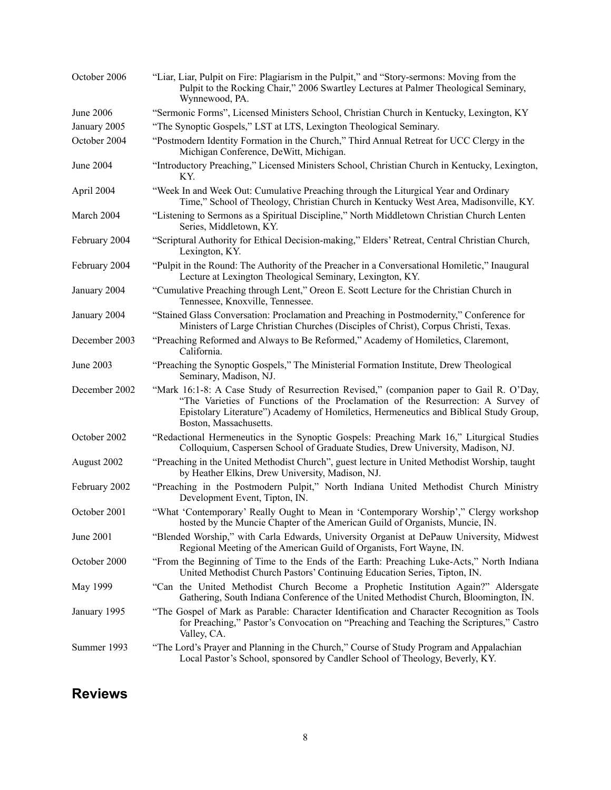| October 2006  | "Liar, Liar, Pulpit on Fire: Plagiarism in the Pulpit," and "Story-sermons: Moving from the<br>Pulpit to the Rocking Chair," 2006 Swartley Lectures at Palmer Theological Seminary,<br>Wynnewood, PA.                                                                                          |
|---------------|------------------------------------------------------------------------------------------------------------------------------------------------------------------------------------------------------------------------------------------------------------------------------------------------|
| June 2006     | "Sermonic Forms", Licensed Ministers School, Christian Church in Kentucky, Lexington, KY                                                                                                                                                                                                       |
| January 2005  | "The Synoptic Gospels," LST at LTS, Lexington Theological Seminary.                                                                                                                                                                                                                            |
| October 2004  | "Postmodern Identity Formation in the Church," Third Annual Retreat for UCC Clergy in the<br>Michigan Conference, DeWitt, Michigan.                                                                                                                                                            |
| June 2004     | "Introductory Preaching," Licensed Ministers School, Christian Church in Kentucky, Lexington,<br>KY.                                                                                                                                                                                           |
| April 2004    | "Week In and Week Out: Cumulative Preaching through the Liturgical Year and Ordinary<br>Time," School of Theology, Christian Church in Kentucky West Area, Madisonville, KY.                                                                                                                   |
| March 2004    | "Listening to Sermons as a Spiritual Discipline," North Middletown Christian Church Lenten<br>Series, Middletown, KY.                                                                                                                                                                          |
| February 2004 | "Scriptural Authority for Ethical Decision-making," Elders' Retreat, Central Christian Church,<br>Lexington, KY.                                                                                                                                                                               |
| February 2004 | "Pulpit in the Round: The Authority of the Preacher in a Conversational Homiletic," Inaugural<br>Lecture at Lexington Theological Seminary, Lexington, KY.                                                                                                                                     |
| January 2004  | "Cumulative Preaching through Lent," Oreon E. Scott Lecture for the Christian Church in<br>Tennessee, Knoxville, Tennessee.                                                                                                                                                                    |
| January 2004  | "Stained Glass Conversation: Proclamation and Preaching in Postmodernity," Conference for<br>Ministers of Large Christian Churches (Disciples of Christ), Corpus Christi, Texas.                                                                                                               |
| December 2003 | "Preaching Reformed and Always to Be Reformed," Academy of Homiletics, Claremont,<br>California.                                                                                                                                                                                               |
| June 2003     | "Preaching the Synoptic Gospels," The Ministerial Formation Institute, Drew Theological<br>Seminary, Madison, NJ.                                                                                                                                                                              |
| December 2002 | "Mark 16:1-8: A Case Study of Resurrection Revised," (companion paper to Gail R. O'Day,<br>"The Varieties of Functions of the Proclamation of the Resurrection: A Survey of<br>Epistolary Literature") Academy of Homiletics, Hermeneutics and Biblical Study Group,<br>Boston, Massachusetts. |
| October 2002  | "Redactional Hermeneutics in the Synoptic Gospels: Preaching Mark 16," Liturgical Studies<br>Colloquium, Caspersen School of Graduate Studies, Drew University, Madison, NJ.                                                                                                                   |
| August 2002   | "Preaching in the United Methodist Church", guest lecture in United Methodist Worship, taught<br>by Heather Elkins, Drew University, Madison, NJ.                                                                                                                                              |
| February 2002 | "Preaching in the Postmodern Pulpit," North Indiana United Methodist Church Ministry<br>Development Event, Tipton, IN.                                                                                                                                                                         |
| October 2001  | "What 'Contemporary' Really Ought to Mean in 'Contemporary Worship'," Clergy workshop<br>hosted by the Muncie Chapter of the American Guild of Organists, Muncie, IN.                                                                                                                          |
| June 2001     | "Blended Worship," with Carla Edwards, University Organist at DePauw University, Midwest<br>Regional Meeting of the American Guild of Organists, Fort Wayne, IN.                                                                                                                               |
| October 2000  | "From the Beginning of Time to the Ends of the Earth: Preaching Luke-Acts," North Indiana<br>United Methodist Church Pastors' Continuing Education Series, Tipton, IN.                                                                                                                         |
| May 1999      | "Can the United Methodist Church Become a Prophetic Institution Again?" Aldersgate<br>Gathering, South Indiana Conference of the United Methodist Church, Bloomington, IN.                                                                                                                     |
| January 1995  | "The Gospel of Mark as Parable: Character Identification and Character Recognition as Tools<br>for Preaching," Pastor's Convocation on "Preaching and Teaching the Scriptures," Castro<br>Valley, CA.                                                                                          |
| Summer 1993   | "The Lord's Prayer and Planning in the Church," Course of Study Program and Appalachian<br>Local Pastor's School, sponsored by Candler School of Theology, Beverly, KY.                                                                                                                        |

## **Reviews**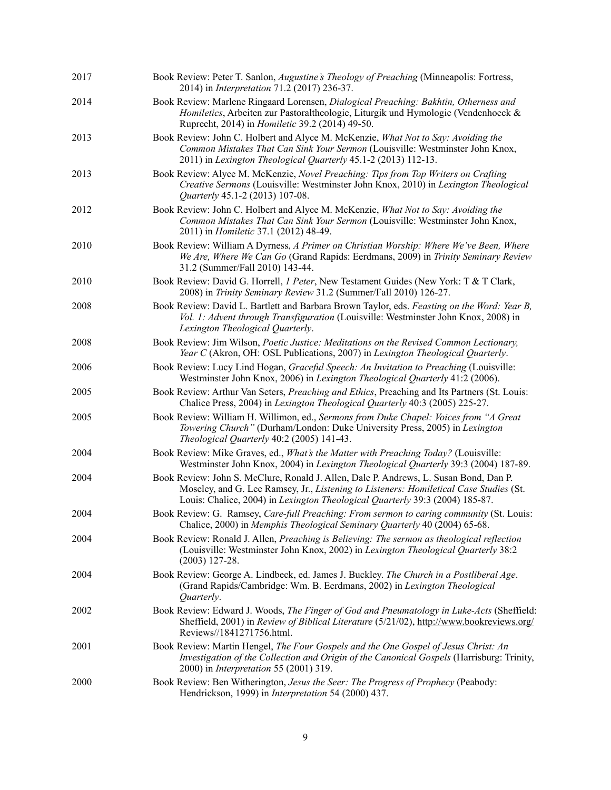| 2017 | Book Review: Peter T. Sanlon, <i>Augustine's Theology of Preaching</i> (Minneapolis: Fortress,<br>2014) in <i>Interpretation</i> 71.2 (2017) 236-37.                                                                                                            |
|------|-----------------------------------------------------------------------------------------------------------------------------------------------------------------------------------------------------------------------------------------------------------------|
| 2014 | Book Review: Marlene Ringaard Lorensen, Dialogical Preaching: Bakhtin, Otherness and<br>Homiletics, Arbeiten zur Pastoraltheologie, Liturgik und Hymologie (Vendenhoeck &<br>Ruprecht, 2014) in <i>Homiletic</i> 39.2 (2014) 49-50.                             |
| 2013 | Book Review: John C. Holbert and Alyce M. McKenzie, What Not to Say: Avoiding the<br>Common Mistakes That Can Sink Your Sermon (Louisville: Westminster John Knox,<br>2011) in Lexington Theological Quarterly 45.1-2 (2013) 112-13.                            |
| 2013 | Book Review: Alyce M. McKenzie, Novel Preaching: Tips from Top Writers on Crafting<br>Creative Sermons (Louisville: Westminster John Knox, 2010) in Lexington Theological<br>Quarterly 45.1-2 (2013) 107-08.                                                    |
| 2012 | Book Review: John C. Holbert and Alyce M. McKenzie, What Not to Say: Avoiding the<br>Common Mistakes That Can Sink Your Sermon (Louisville: Westminster John Knox,<br>2011) in <i>Homiletic</i> 37.1 (2012) 48-49.                                              |
| 2010 | Book Review: William A Dyrness, A Primer on Christian Worship: Where We've Been, Where<br>We Are, Where We Can Go (Grand Rapids: Eerdmans, 2009) in Trinity Seminary Review<br>31.2 (Summer/Fall 2010) 143-44.                                                  |
| 2010 | Book Review: David G. Horrell, <i>1 Peter</i> , New Testament Guides (New York: T & T Clark,<br>2008) in Trinity Seminary Review 31.2 (Summer/Fall 2010) 126-27.                                                                                                |
| 2008 | Book Review: David L. Bartlett and Barbara Brown Taylor, eds. Feasting on the Word: Year B,<br>Vol. 1: Advent through Transfiguration (Louisville: Westminster John Knox, 2008) in<br>Lexington Theological Quarterly.                                          |
| 2008 | Book Review: Jim Wilson, Poetic Justice: Meditations on the Revised Common Lectionary,<br>Year C (Akron, OH: OSL Publications, 2007) in Lexington Theological Quarterly.                                                                                        |
| 2006 | Book Review: Lucy Lind Hogan, Graceful Speech: An Invitation to Preaching (Louisville:<br>Westminster John Knox, 2006) in Lexington Theological Quarterly 41:2 (2006).                                                                                          |
| 2005 | Book Review: Arthur Van Seters, <i>Preaching and Ethics</i> , Preaching and Its Partners (St. Louis:<br>Chalice Press, 2004) in Lexington Theological Quarterly 40:3 (2005) 225-27.                                                                             |
| 2005 | Book Review: William H. Willimon, ed., Sermons from Duke Chapel: Voices from "A Great<br>Towering Church" (Durham/London: Duke University Press, 2005) in Lexington<br>Theological Quarterly 40:2 (2005) 141-43.                                                |
| 2004 | Book Review: Mike Graves, ed., What's the Matter with Preaching Today? (Louisville:<br>Westminster John Knox, 2004) in Lexington Theological Quarterly 39:3 (2004) 187-89.                                                                                      |
| 2004 | Book Review: John S. McClure, Ronald J. Allen, Dale P. Andrews, L. Susan Bond, Dan P.<br>Moseley, and G. Lee Ramsey, Jr., Listening to Listeners: Homiletical Case Studies (St.<br>Louis: Chalice, 2004) in Lexington Theological Quarterly 39:3 (2004) 185-87. |
| 2004 | Book Review: G. Ramsey, Care-full Preaching: From sermon to caring community (St. Louis:<br>Chalice, 2000) in Memphis Theological Seminary Quarterly 40 (2004) 65-68.                                                                                           |
| 2004 | Book Review: Ronald J. Allen, Preaching is Believing: The sermon as theological reflection<br>(Louisville: Westminster John Knox, 2002) in Lexington Theological Quarterly 38:2<br>$(2003)$ 127-28.                                                             |
| 2004 | Book Review: George A. Lindbeck, ed. James J. Buckley. The Church in a Postliberal Age.<br>(Grand Rapids/Cambridge: Wm. B. Eerdmans, 2002) in Lexington Theological<br>Quarterly.                                                                               |
| 2002 | Book Review: Edward J. Woods, The Finger of God and Pneumatology in Luke-Acts (Sheffield:<br>Sheffield, 2001) in <i>Review of Biblical Literature</i> (5/21/02), http://www.bookreviews.org/<br>Reviews//1841271756.html.                                       |
| 2001 | Book Review: Martin Hengel, The Four Gospels and the One Gospel of Jesus Christ: An<br>Investigation of the Collection and Origin of the Canonical Gospels (Harrisburg: Trinity,<br>2000) in <i>Interpretation</i> 55 (2001) 319.                               |
| 2000 | Book Review: Ben Witherington, Jesus the Seer: The Progress of Prophecy (Peabody:<br>Hendrickson, 1999) in <i>Interpretation</i> 54 (2000) 437.                                                                                                                 |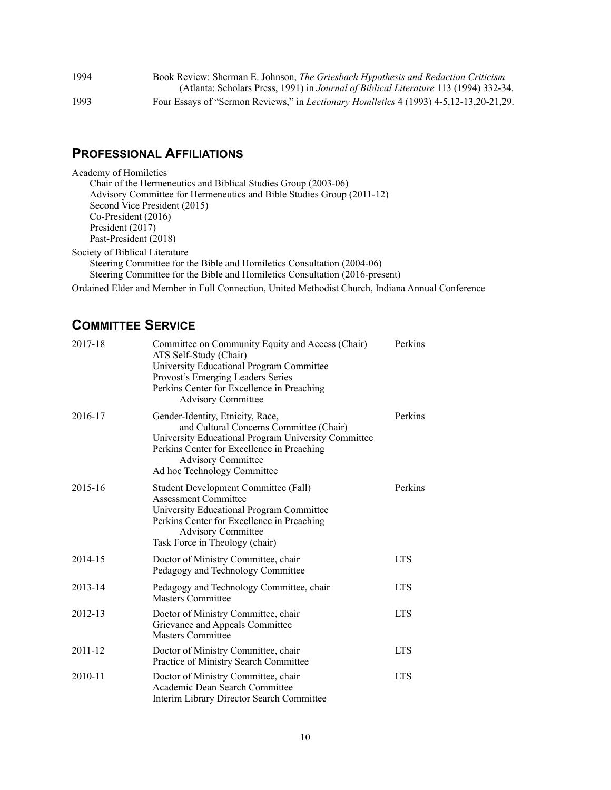| 1994 | Book Review: Sherman E. Johnson, The Griesbach Hypothesis and Redaction Criticism             |
|------|-----------------------------------------------------------------------------------------------|
|      | (Atlanta: Scholars Press, 1991) in Journal of Biblical Literature 113 (1994) 332-34.          |
| 1993 | Four Essays of "Sermon Reviews," in <i>Lectionary Homiletics</i> 4 (1993) 4-5,12-13,20-21,29. |

#### **PROFESSIONAL AFFILIATIONS**

Academy of Homiletics Chair of the Hermeneutics and Biblical Studies Group (2003-06) Advisory Committee for Hermeneutics and Bible Studies Group (2011-12) Second Vice President (2015) Co-President (2016) President (2017) Past-President (2018) Society of Biblical Literature Steering Committee for the Bible and Homiletics Consultation (2004-06) Steering Committee for the Bible and Homiletics Consultation (2016-present)

Ordained Elder and Member in Full Connection, United Methodist Church, Indiana Annual Conference

## **COMMITTEE SERVICE**

| 2017-18 | Committee on Community Equity and Access (Chair)<br>ATS Self-Study (Chair)<br>University Educational Program Committee<br>Provost's Emerging Leaders Series<br>Perkins Center for Excellence in Preaching<br><b>Advisory Committee</b>       | Perkins    |
|---------|----------------------------------------------------------------------------------------------------------------------------------------------------------------------------------------------------------------------------------------------|------------|
| 2016-17 | Gender-Identity, Etnicity, Race,<br>and Cultural Concerns Committee (Chair)<br>University Educational Program University Committee<br>Perkins Center for Excellence in Preaching<br><b>Advisory Committee</b><br>Ad hoc Technology Committee | Perkins    |
| 2015-16 | Student Development Committee (Fall)<br><b>Assessment Committee</b><br>University Educational Program Committee<br>Perkins Center for Excellence in Preaching<br><b>Advisory Committee</b><br>Task Force in Theology (chair)                 | Perkins    |
| 2014-15 | Doctor of Ministry Committee, chair<br>Pedagogy and Technology Committee                                                                                                                                                                     | <b>LTS</b> |
| 2013-14 | Pedagogy and Technology Committee, chair<br><b>Masters Committee</b>                                                                                                                                                                         | <b>LTS</b> |
| 2012-13 | Doctor of Ministry Committee, chair<br>Grievance and Appeals Committee<br><b>Masters Committee</b>                                                                                                                                           | <b>LTS</b> |
| 2011-12 | Doctor of Ministry Committee, chair<br>Practice of Ministry Search Committee                                                                                                                                                                 | <b>LTS</b> |
| 2010-11 | Doctor of Ministry Committee, chair<br>Academic Dean Search Committee<br>Interim Library Director Search Committee                                                                                                                           | <b>LTS</b> |